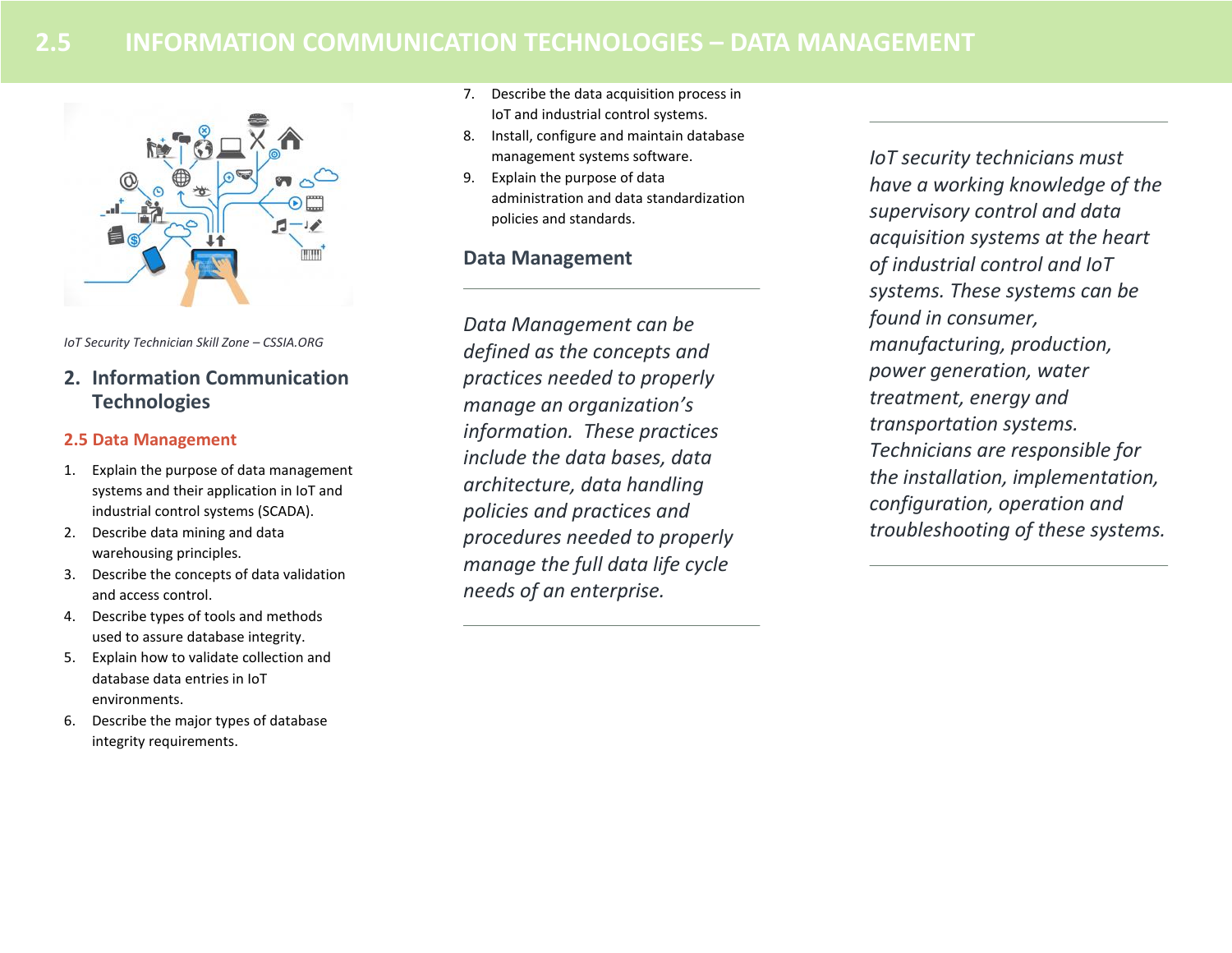# **2.5 INFORMATION COMMUNICATION TECHNOLOGIES – DATA MANAGEMENT**



*IoT Security Technician Skill Zone – CSSIA.ORG*

**2. Information Communication Technologies**

### **2.5 Data Management**

- 1. Explain the purpose of data management systems and their application in IoT and industrial control systems (SCADA).
- 2. Describe data mining and data warehousing principles.
- 3. Describe the concepts of data validation and access control.
- 4. Describe types of tools and methods used to assure database integrity.
- 5. Explain how to validate collection and database data entries in IoT environments.
- 6. Describe the major types of database integrity requirements.
- 7. Describe the data acquisition process in IoT and industrial control systems.
- 8. Install, configure and maintain database management systems software.
- 9. Explain the purpose of data administration and data standardization policies and standards.

## **Data Management**

*Data Management can be defined as the concepts and practices needed to properly manage an organization's information. These practices include the data bases, data architecture, data handling policies and practices and procedures needed to properly manage the full data life cycle needs of an enterprise.* 

*IoT security technicians must have a working knowledge of the supervisory control and data acquisition systems at the heart of industrial control and IoT systems. These systems can be found in consumer, manufacturing, production, power generation, water treatment, energy and transportation systems. Technicians are responsible for the installation, implementation, configuration, operation and troubleshooting of these systems.*